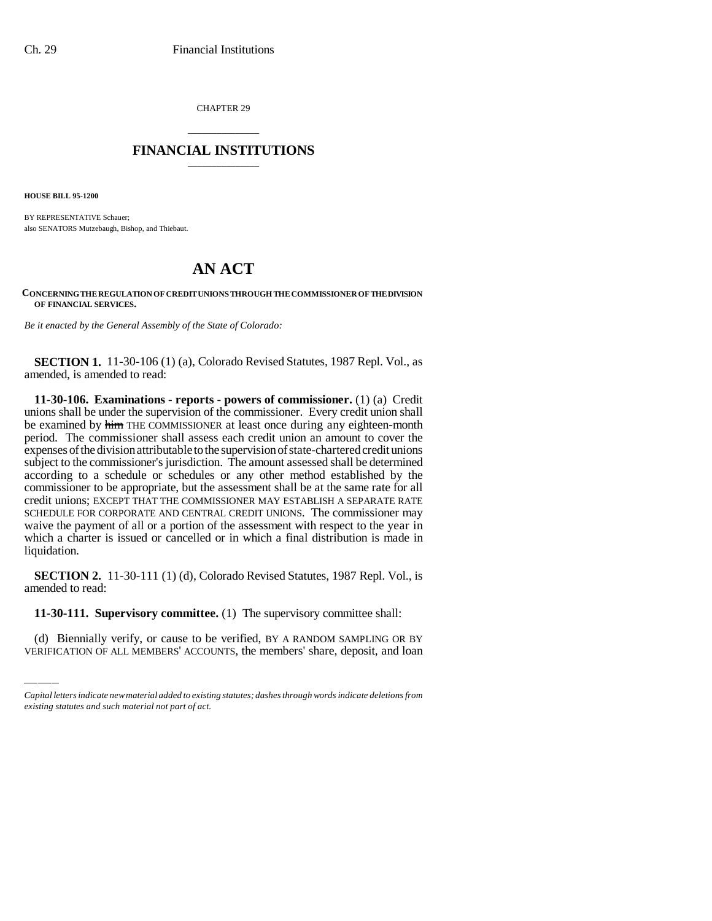CHAPTER 29

## \_\_\_\_\_\_\_\_\_\_\_\_\_\_\_ **FINANCIAL INSTITUTIONS** \_\_\_\_\_\_\_\_\_\_\_\_\_\_\_

**HOUSE BILL 95-1200**

BY REPRESENTATIVE Schauer; also SENATORS Mutzebaugh, Bishop, and Thiebaut.

## **AN ACT**

**CONCERNING THE REGULATION OF CREDIT UNIONS THROUGH THE COMMISSIONER OF THE DIVISION OF FINANCIAL SERVICES.**

*Be it enacted by the General Assembly of the State of Colorado:*

**SECTION 1.** 11-30-106 (1) (a), Colorado Revised Statutes, 1987 Repl. Vol., as amended, is amended to read:

**11-30-106. Examinations - reports - powers of commissioner.** (1) (a) Credit unions shall be under the supervision of the commissioner. Every credit union shall be examined by him THE COMMISSIONER at least once during any eighteen-month period. The commissioner shall assess each credit union an amount to cover the expenses of the division attributable to the supervision of state-chartered credit unions subject to the commissioner's jurisdiction. The amount assessed shall be determined according to a schedule or schedules or any other method established by the commissioner to be appropriate, but the assessment shall be at the same rate for all credit unions; EXCEPT THAT THE COMMISSIONER MAY ESTABLISH A SEPARATE RATE SCHEDULE FOR CORPORATE AND CENTRAL CREDIT UNIONS. The commissioner may waive the payment of all or a portion of the assessment with respect to the year in which a charter is issued or cancelled or in which a final distribution is made in liquidation.

amended to read: **SECTION 2.** 11-30-111 (1) (d), Colorado Revised Statutes, 1987 Repl. Vol., is

**11-30-111. Supervisory committee.** (1) The supervisory committee shall:

(d) Biennially verify, or cause to be verified, BY A RANDOM SAMPLING OR BY VERIFICATION OF ALL MEMBERS' ACCOUNTS, the members' share, deposit, and loan

*Capital letters indicate new material added to existing statutes; dashes through words indicate deletions from existing statutes and such material not part of act.*